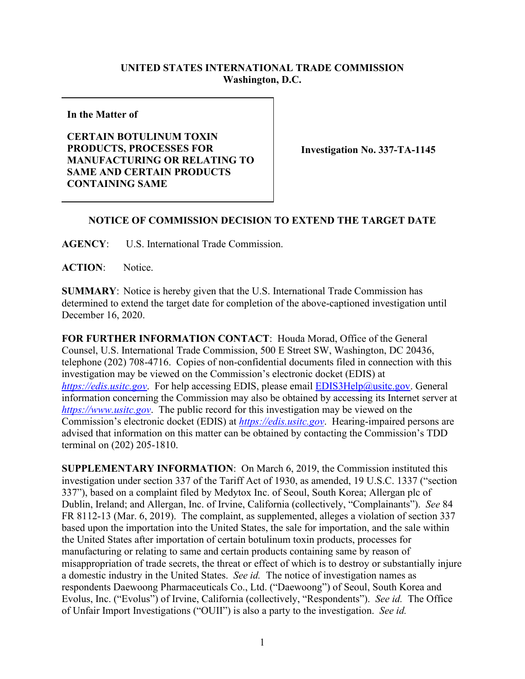## **UNITED STATES INTERNATIONAL TRADE COMMISSION Washington, D.C.**

**In the Matter of**

## **CERTAIN BOTULINUM TOXIN PRODUCTS, PROCESSES FOR MANUFACTURING OR RELATING TO SAME AND CERTAIN PRODUCTS CONTAINING SAME**

**Investigation No. 337-TA-1145**

## **NOTICE OF COMMISSION DECISION TO EXTEND THE TARGET DATE**

**AGENCY**: U.S. International Trade Commission.

ACTION: Notice.

**SUMMARY**: Notice is hereby given that the U.S. International Trade Commission has determined to extend the target date for completion of the above-captioned investigation until December 16, 2020.

**FOR FURTHER INFORMATION CONTACT**: Houda Morad, Office of the General Counsel, U.S. International Trade Commission, 500 E Street SW, Washington, DC 20436, telephone (202) 708-4716. Copies of non-confidential documents filed in connection with this investigation may be viewed on the Commission's electronic docket (EDIS) at *[https://edis.usitc.gov](https://edis.usitc.gov/)*. For help accessing EDIS, please email [EDIS3Help@usitc.gov.](mailto:EDIS3Help@usitc.gov) General information concerning the Commission may also be obtained by accessing its Internet server at *[https://www.usitc.gov](https://www.usitc.gov/)*. The public record for this investigation may be viewed on the Commission's electronic docket (EDIS) at *[https://edis.usitc.gov](https://edis.usitc.gov/)*. Hearing-impaired persons are advised that information on this matter can be obtained by contacting the Commission's TDD terminal on (202) 205-1810.

**SUPPLEMENTARY INFORMATION**: On March 6, 2019, the Commission instituted this investigation under section 337 of the Tariff Act of 1930, as amended, 19 U.S.C. 1337 ("section 337"), based on a complaint filed by Medytox Inc. of Seoul, South Korea; Allergan plc of Dublin, Ireland; and Allergan, Inc. of Irvine, California (collectively, "Complainants"). *See* 84 FR 8112-13 (Mar. 6, 2019). The complaint, as supplemented, alleges a violation of section 337 based upon the importation into the United States, the sale for importation, and the sale within the United States after importation of certain botulinum toxin products, processes for manufacturing or relating to same and certain products containing same by reason of misappropriation of trade secrets, the threat or effect of which is to destroy or substantially injure a domestic industry in the United States. *See id.* The notice of investigation names as respondents Daewoong Pharmaceuticals Co., Ltd. ("Daewoong") of Seoul, South Korea and Evolus, Inc. ("Evolus") of Irvine, California (collectively, "Respondents"). *See id.* The Office of Unfair Import Investigations ("OUII") is also a party to the investigation. *See id.*